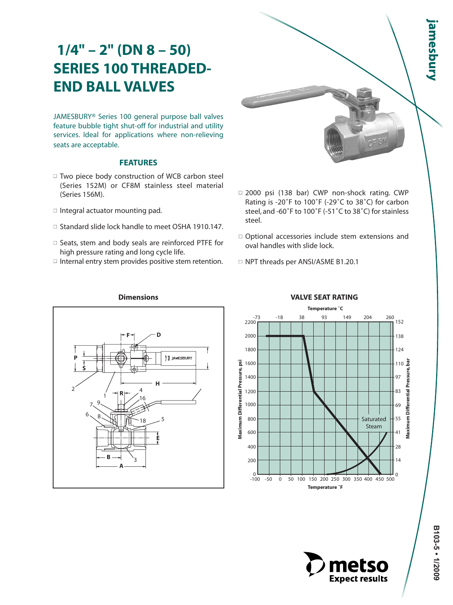JAMESBURY® Series 100 general purpose ball valves feature bubble tight shut-off for industrial and utility services. Ideal for applications where non-relieving seats are acceptable.

#### **FEATURES**

- □ Two piece body construction of WCB carbon steel (Series 152M) or CF8M stainless steel material (Series 156M).
- $\Box$  Integral actuator mounting pad.
- □ Standard slide lock handle to meet OSHA 1910.147.
- □ Seats, stem and body seals are reinforced PTFE for high pressure rating and long cycle life.
- $\Box$  Internal entry stem provides positive stem retention.



- □ 2000 psi (138 bar) CWP non-shock rating. CWP Rating is -20˚F to 100˚F (-29˚C to 38˚C) for carbon steel, and -60˚F to 100˚F (-51˚C to 38˚C) for stainless steel.
- $\Box$  Optional accessories include stem extensions and oval handles with slide lock.
- □ NPT threads per ANSI/ASME B1.20.1



# **VALVE SEAT RATING**